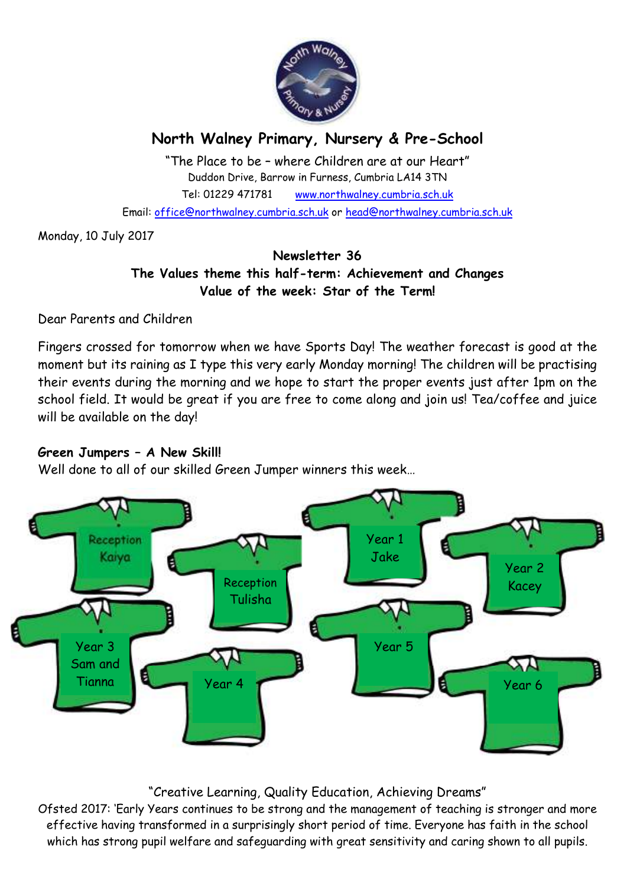

# **North Walney Primary, Nursery & Pre-School**

"The Place to be – where Children are at our Heart" Duddon Drive, Barrow in Furness, Cumbria LA14 3TN Tel: 01229 471781 www.northwalney.cumbria.sch.uk Email: office@northwalney.cumbria.sch.uk or head@northwalney.cumbria.sch.uk

Monday, 10 July 2017

# **Newsletter 36 The Values theme this half-term: Achievement and Changes Value of the week: Star of the Term!**

Dear Parents and Children

Fingers crossed for tomorrow when we have Sports Day! The weather forecast is good at the moment but its raining as I type this very early Monday morning! The children will be practising their events during the morning and we hope to start the proper events just after 1pm on the school field. It would be great if you are free to come along and join us! Tea/coffee and juice will be available on the day!

## **Green Jumpers – A New Skill!**

Well done to all of our skilled Green Jumper winners this week…



## "Creative Learning, Quality Education, Achieving Dreams"

Ofsted 2017: 'Early Years continues to be strong and the management of teaching is stronger and more effective having transformed in a surprisingly short period of time. Everyone has faith in the school which has strong pupil welfare and safeguarding with great sensitivity and caring shown to all pupils.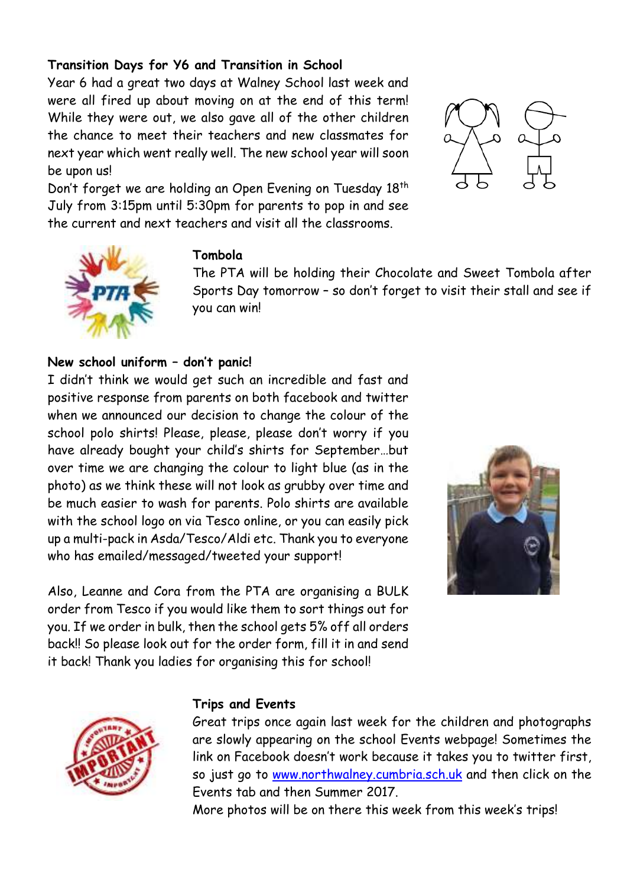### **Transition Days for Y6 and Transition in School**

Year 6 had a great two days at Walney School last week and were all fired up about moving on at the end of this term! While they were out, we also gave all of the other children the chance to meet their teachers and new classmates for next year which went really well. The new school year will soon be upon us!

Don't forget we are holding an Open Evening on Tuesday 18th July from 3:15pm until 5:30pm for parents to pop in and see the current and next teachers and visit all the classrooms.





### **Tombola**

The PTA will be holding their Chocolate and Sweet Tombola after Sports Day tomorrow – so don't forget to visit their stall and see if you can win!

#### **New school uniform – don't panic!**

I didn't think we would get such an incredible and fast and positive response from parents on both facebook and twitter when we announced our decision to change the colour of the school polo shirts! Please, please, please don't worry if you have already bought your child's shirts for September…but over time we are changing the colour to light blue (as in the photo) as we think these will not look as grubby over time and be much easier to wash for parents. Polo shirts are available with the school logo on via Tesco online, or you can easily pick up a multi-pack in Asda/Tesco/Aldi etc. Thank you to everyone who has emailed/messaged/tweeted your support!

Also, Leanne and Cora from the PTA are organising a BULK order from Tesco if you would like them to sort things out for you. If we order in bulk, then the school gets 5% off all orders back!! So please look out for the order form, fill it in and send it back! Thank you ladies for organising this for school!





#### **Trips and Events**

Great trips once again last week for the children and photographs are slowly appearing on the school Events webpage! Sometimes the link on Facebook doesn't work because it takes you to twitter first, so just go to www.northwalney.cumbria.sch.uk and then click on the Events tab and then Summer 2017.

More photos will be on there this week from this week's trips!